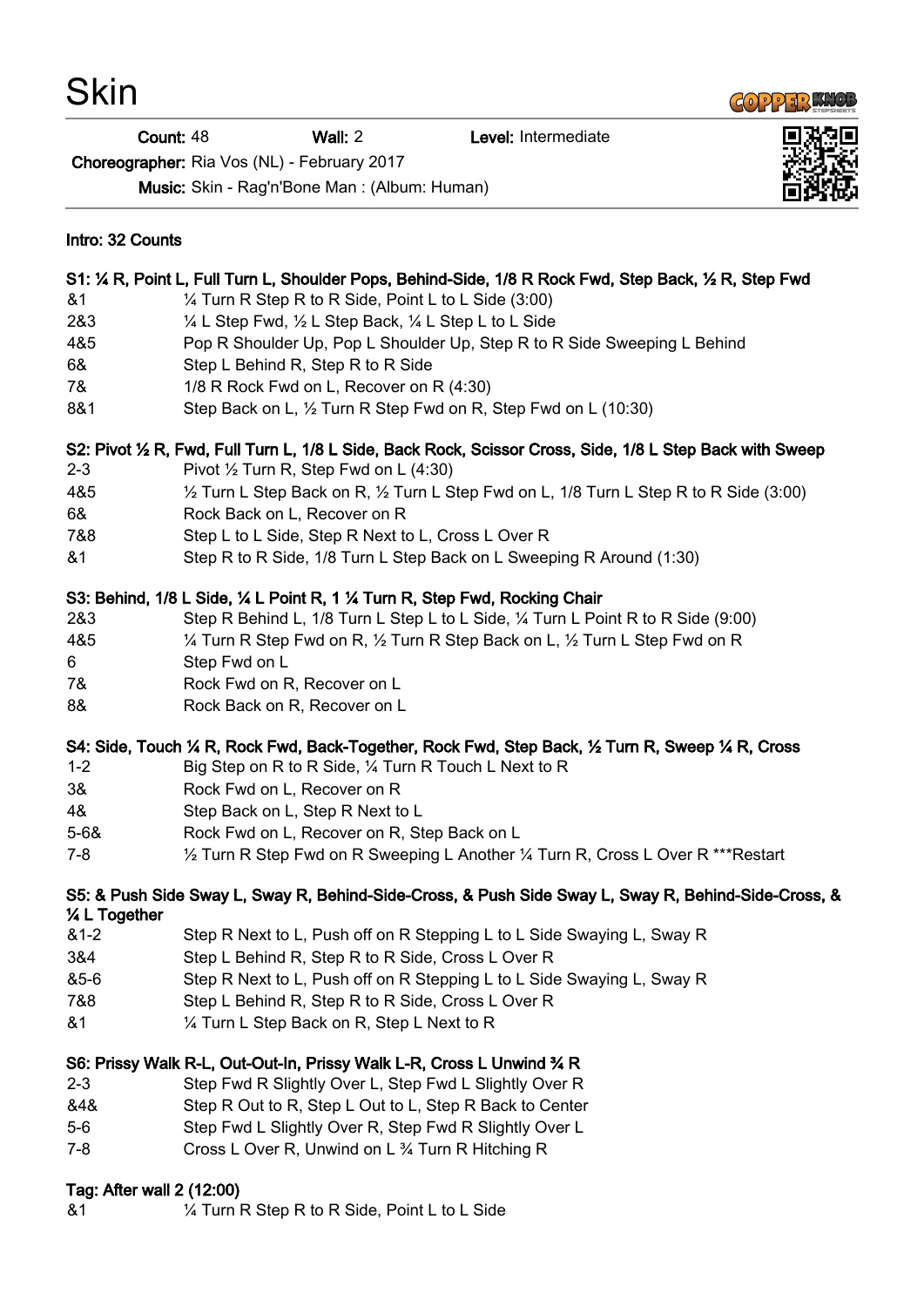**COPPER KNOB** 

Count: 48 Wall: 2 Level: Intermediate

Choreographer: Ria Vos (NL) - February 2017

Music: Skin - Rag'n'Bone Man : (Album: Human)

| Intro: 32 Counts                                                                                                      |                                                                                                             |
|-----------------------------------------------------------------------------------------------------------------------|-------------------------------------------------------------------------------------------------------------|
| S1: 1/4 R, Point L, Full Turn L, Shoulder Pops, Behind-Side, 1/8 R Rock Fwd, Step Back, 1/2 R, Step Fwd               |                                                                                                             |
| &1                                                                                                                    | 1/4 Turn R Step R to R Side, Point L to L Side (3:00)                                                       |
| 2&3                                                                                                                   | 1/4 L Step Fwd, 1/2 L Step Back, 1/4 L Step L to L Side                                                     |
| 4&5                                                                                                                   | Pop R Shoulder Up, Pop L Shoulder Up, Step R to R Side Sweeping L Behind                                    |
| 6&                                                                                                                    | Step L Behind R, Step R to R Side                                                                           |
| 7&                                                                                                                    | 1/8 R Rock Fwd on L, Recover on R (4:30)                                                                    |
| 8&1                                                                                                                   | Step Back on L, 1/2 Turn R Step Fwd on R, Step Fwd on L (10:30)                                             |
| S2: Pivot 1/2 R, Fwd, Full Turn L, 1/8 L Side, Back Rock, Scissor Cross, Side, 1/8 L Step Back with Sweep             |                                                                                                             |
| $2 - 3$                                                                                                               | Pivot $\frac{1}{2}$ Turn R, Step Fwd on L (4:30)                                                            |
| 4&5                                                                                                                   | $\frac{1}{2}$ Turn L Step Back on R, $\frac{1}{2}$ Turn L Step Fwd on L, 1/8 Turn L Step R to R Side (3:00) |
| 6&                                                                                                                    | Rock Back on L, Recover on R                                                                                |
| 7&8                                                                                                                   | Step L to L Side, Step R Next to L, Cross L Over R                                                          |
| &1                                                                                                                    | Step R to R Side, 1/8 Turn L Step Back on L Sweeping R Around (1:30)                                        |
| S3: Behind, 1/8 L Side, 1/4 L Point R, 1 1/4 Turn R, Step Fwd, Rocking Chair                                          |                                                                                                             |
| 2&3                                                                                                                   | Step R Behind L, 1/8 Turn L Step L to L Side, 1/4 Turn L Point R to R Side (9:00)                           |
| 4&5                                                                                                                   | 1/4 Turn R Step Fwd on R, 1/2 Turn R Step Back on L, 1/2 Turn L Step Fwd on R                               |
| 6                                                                                                                     | Step Fwd on L                                                                                               |
| 7&                                                                                                                    | Rock Fwd on R, Recover on L                                                                                 |
| 8&                                                                                                                    | Rock Back on R, Recover on L                                                                                |
| S4: Side, Touch 1/4 R, Rock Fwd, Back-Together, Rock Fwd, Step Back, 1/2 Turn R, Sweep 1/4 R, Cross                   |                                                                                                             |
| $1 - 2$                                                                                                               | Big Step on R to R Side, 1/4 Turn R Touch L Next to R                                                       |
| 3&                                                                                                                    | Rock Fwd on L, Recover on R                                                                                 |
| 4&                                                                                                                    | Step Back on L, Step R Next to L                                                                            |
| $5 - 68$                                                                                                              | Rock Fwd on L, Recover on R, Step Back on L                                                                 |
| $7 - 8$                                                                                                               | 1/2 Turn R Step Fwd on R Sweeping L Another 1/4 Turn R, Cross L Over R ***Restart                           |
| S5: & Push Side Sway L, Sway R, Behind-Side-Cross, & Push Side Sway L, Sway R, Behind-Side-Cross, &<br>1/4 L Together |                                                                                                             |
| $81 - 2$                                                                                                              | Step R Next to L, Push off on R Stepping L to L Side Swaying L, Sway R                                      |
| 3&4                                                                                                                   | Step L Behind R, Step R to R Side, Cross L Over R                                                           |
| &5-6                                                                                                                  | Step R Next to L, Push off on R Stepping L to L Side Swaying L, Sway R                                      |
| 7&8                                                                                                                   | Step L Behind R, Step R to R Side, Cross L Over R                                                           |
| &1                                                                                                                    | 1/4 Turn L Step Back on R, Step L Next to R                                                                 |
| S6: Prissy Walk R-L, Out-Out-In, Prissy Walk L-R, Cross L Unwind 34 R                                                 |                                                                                                             |
| $2 - 3$                                                                                                               | Step Fwd R Slightly Over L, Step Fwd L Slightly Over R                                                      |
| &4&                                                                                                                   | Step R Out to R, Step L Out to L, Step R Back to Center                                                     |
| $5-6$                                                                                                                 | Step Fwd L Slightly Over R, Step Fwd R Slightly Over L                                                      |
| $7 - 8$                                                                                                               | Cross L Over R, Unwind on L 3/4 Turn R Hitching R                                                           |
| Tag: After wall 2 (12:00)                                                                                             |                                                                                                             |
| 81                                                                                                                    | 1/4 Turn R Step R to R Side, Point L to L Side                                                              |